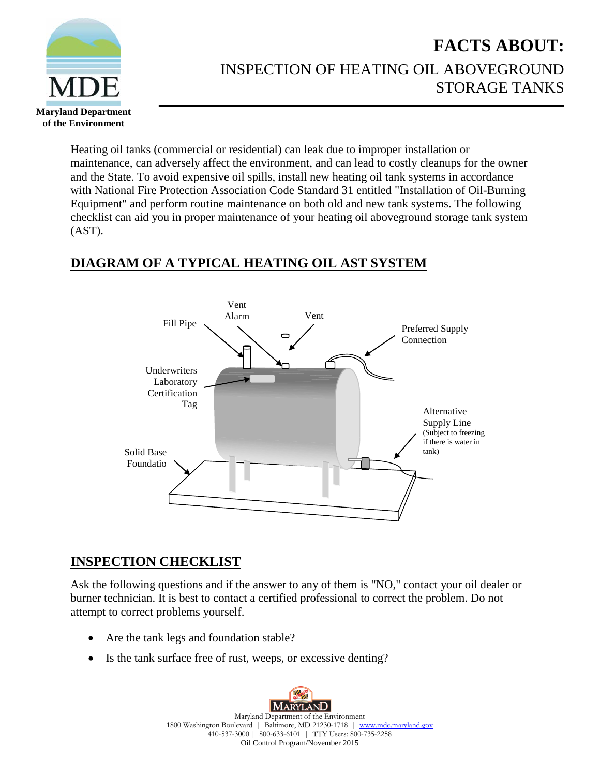

## **FACTS ABOUT:** INSPECTION OF HEATING OIL ABOVEGROUND STORAGE TANKS

Heating oil tanks (commercial or residential) can leak due to improper installation or maintenance, can adversely affect the environment, and can lead to costly cleanups for the owner and the State. To avoid expensive oil spills, install new heating oil tank systems in accordance with National Fire Protection Association Code Standard 31 entitled "Installation of Oil-Burning Equipment" and perform routine maintenance on both old and new tank systems. The following checklist can aid you in proper maintenance of your heating oil aboveground storage tank system (AST).

## **DIAGRAM OF A TYPICAL HEATING OIL AST SYSTEM**



## **INSPECTION CHECKLIST**

Ask the following questions and if the answer to any of them is "NO," contact your oil dealer or burner technician. It is best to contact a certified professional to correct the problem. Do not attempt to correct problems yourself.

- Are the tank legs and foundation stable?
- Is the tank surface free of rust, weeps, or excessive denting?

MARYLAND Maryland Department of the Environment 1800 Washington Boulevard | Baltimore, MD 21230-1718 | [www.mde.maryland.gov](http://www.mde.maryland.gov/) 410-537-3000 | 800-633-6101 | TTY Users: 800-735-2258 Oil Control Program/November 2015